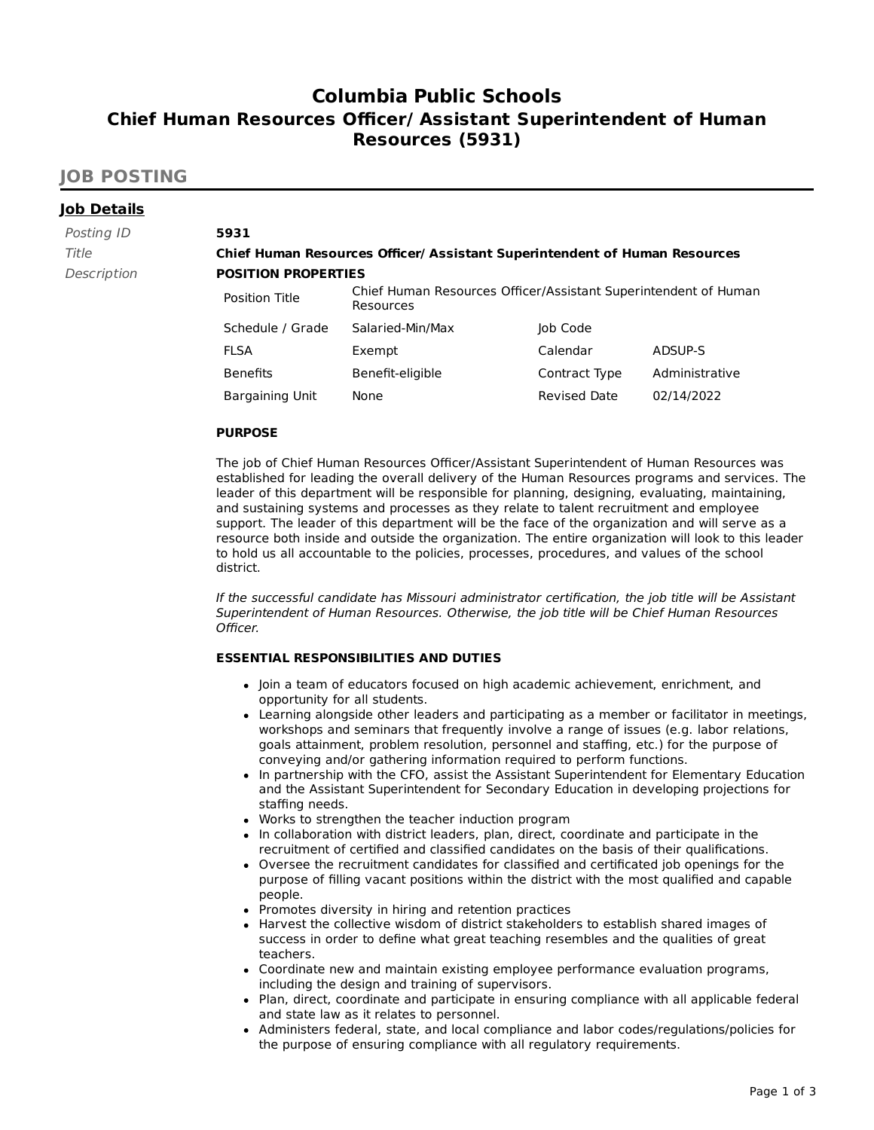# **Columbia Public Schools Chief Human Resources Officer/ Assistant Superintendent of Human Resources (5931)**

# **JOB POSTING**

| <b>Job Details</b> |                            |                                                                              |                     |                |  |
|--------------------|----------------------------|------------------------------------------------------------------------------|---------------------|----------------|--|
| Posting ID         | 5931                       |                                                                              |                     |                |  |
| Title              |                            | Chief Human Resources Officer/ Assistant Superintendent of Human Resources   |                     |                |  |
| Description        | <b>POSITION PROPERTIES</b> |                                                                              |                     |                |  |
|                    | Position Title             | Chief Human Resources Officer/Assistant Superintendent of Human<br>Resources |                     |                |  |
|                    | Schedule / Grade           | Salaried-Min/Max                                                             | Job Code            |                |  |
|                    | <b>FLSA</b>                | Exempt                                                                       | Calendar            | ADSUP-S        |  |
|                    | <b>Benefits</b>            | Benefit-eligible                                                             | Contract Type       | Administrative |  |
|                    | Bargaining Unit            | None                                                                         | <b>Revised Date</b> | 02/14/2022     |  |

### **PURPOSE**

The job of Chief Human Resources Officer/Assistant Superintendent of Human Resources was established for leading the overall delivery of the Human Resources programs and services. The leader of this department will be responsible for planning, designing, evaluating, maintaining, and sustaining systems and processes as they relate to talent recruitment and employee support. The leader of this department will be the face of the organization and will serve as a resource both inside and outside the organization. The entire organization will look to this leader to hold us all accountable to the policies, processes, procedures, and values of the school district.

If the successful candidate has Missouri administrator certification, the job title will be Assistant Superintendent of Human Resources. Otherwise, the job title will be Chief Human Resources Officer.

### **ESSENTIAL RESPONSIBILITIES AND DUTIES**

- Join a team of educators focused on high academic achievement, enrichment, and opportunity for all students.
- Learning alongside other leaders and participating as a member or facilitator in meetings, workshops and seminars that frequently involve a range of issues (e.g. labor relations, goals attainment, problem resolution, personnel and staffing, etc.) for the purpose of conveying and/or gathering information required to perform functions.
- In partnership with the CFO, assist the Assistant Superintendent for Elementary Education and the Assistant Superintendent for Secondary Education in developing projections for staffing needs.
- Works to strengthen the teacher induction program
- In collaboration with district leaders, plan, direct, coordinate and participate in the recruitment of certified and classified candidates on the basis of their qualifications.
- Oversee the recruitment candidates for classified and certificated job openings for the purpose of filling vacant positions within the district with the most qualified and capable people.
- Promotes diversity in hiring and retention practices
- Harvest the collective wisdom of district stakeholders to establish shared images of success in order to define what great teaching resembles and the qualities of great teachers.
- Coordinate new and maintain existing employee performance evaluation programs, including the design and training of supervisors.
- Plan, direct, coordinate and participate in ensuring compliance with all applicable federal and state law as it relates to personnel.
- Administers federal, state, and local compliance and labor codes/regulations/policies for the purpose of ensuring compliance with all regulatory requirements.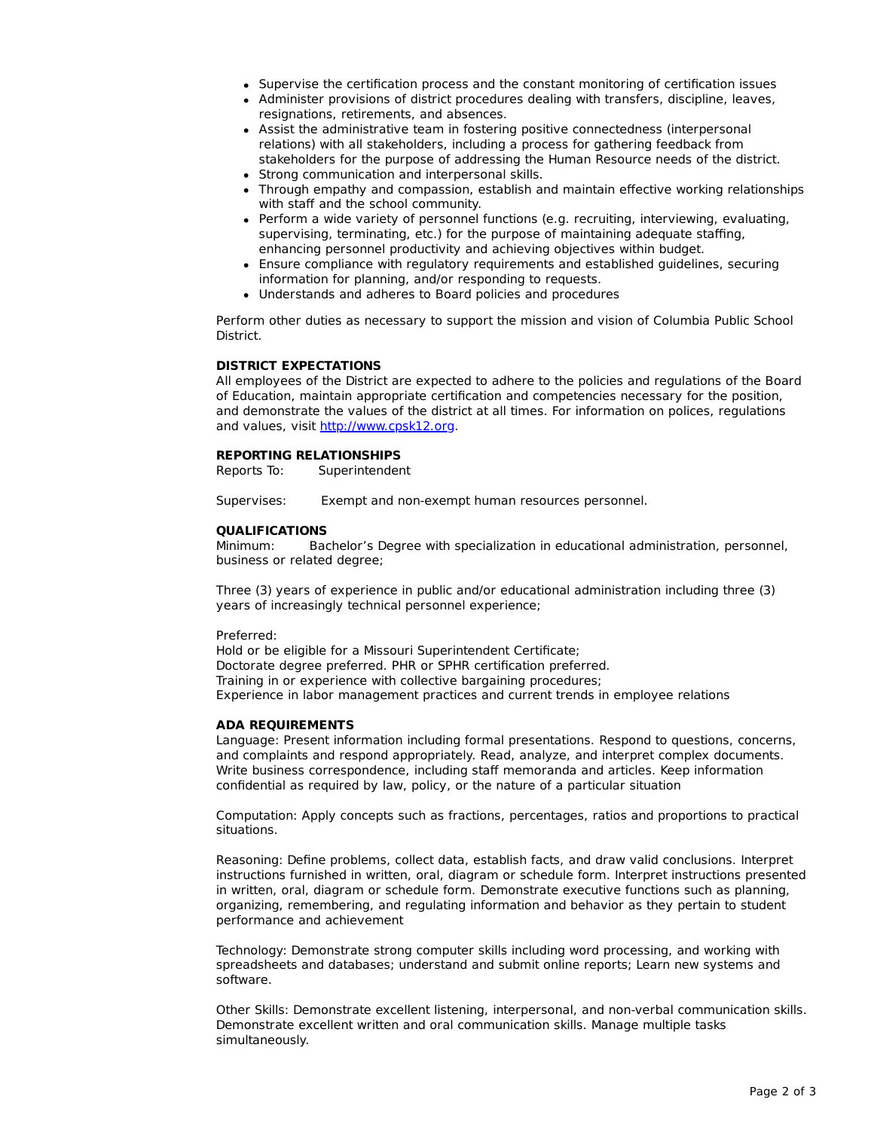- Supervise the certification process and the constant monitoring of certification issues
- Administer provisions of district procedures dealing with transfers, discipline, leaves, resignations, retirements, and absences.
- Assist the administrative team in fostering positive connectedness (interpersonal relations) with all stakeholders, including a process for gathering feedback from stakeholders for the purpose of addressing the Human Resource needs of the district.
- Strong communication and interpersonal skills.
- Through empathy and compassion, establish and maintain effective working relationships with staff and the school community.
- Perform a wide variety of personnel functions (e.g. recruiting, interviewing, evaluating, supervising, terminating, etc.) for the purpose of maintaining adequate staffing, enhancing personnel productivity and achieving objectives within budget.
- Ensure compliance with regulatory requirements and established guidelines, securing information for planning, and/or responding to requests.
- Understands and adheres to Board policies and procedures

Perform other duties as necessary to support the mission and vision of Columbia Public School District.

#### **DISTRICT EXPECTATIONS**

All employees of the District are expected to adhere to the policies and regulations of the Board of Education, maintain appropriate certification and competencies necessary for the position, and demonstrate the values of the district at all times. For information on polices, regulations and values, visit [http://www.cpsk12.org.](http://www.cpsk12.org/)

#### **REPORTING RELATIONSHIPS**

Reports To: Superintendent

Supervises: Exempt and non-exempt human resources personnel.

#### **QUALIFICATIONS**

Minimum: Bachelor's Degree with specialization in educational administration, personnel, business or related degree;

Three (3) years of experience in public and/or educational administration including three (3) years of increasingly technical personnel experience;

#### Preferred:

Hold or be eligible for a Missouri Superintendent Certificate; Doctorate degree preferred. PHR or SPHR certification preferred. Training in or experience with collective bargaining procedures; Experience in labor management practices and current trends in employee relations

#### **ADA REQUIREMENTS**

Language: Present information including formal presentations. Respond to questions, concerns, and complaints and respond appropriately. Read, analyze, and interpret complex documents. Write business correspondence, including staff memoranda and articles. Keep information confidential as required by law, policy, or the nature of a particular situation

Computation: Apply concepts such as fractions, percentages, ratios and proportions to practical situations.

Reasoning: Define problems, collect data, establish facts, and draw valid conclusions. Interpret instructions furnished in written, oral, diagram or schedule form. Interpret instructions presented in written, oral, diagram or schedule form. Demonstrate executive functions such as planning, organizing, remembering, and regulating information and behavior as they pertain to student performance and achievement

Technology: Demonstrate strong computer skills including word processing, and working with spreadsheets and databases; understand and submit online reports; Learn new systems and software.

Other Skills: Demonstrate excellent listening, interpersonal, and non-verbal communication skills. Demonstrate excellent written and oral communication skills. Manage multiple tasks simultaneously.